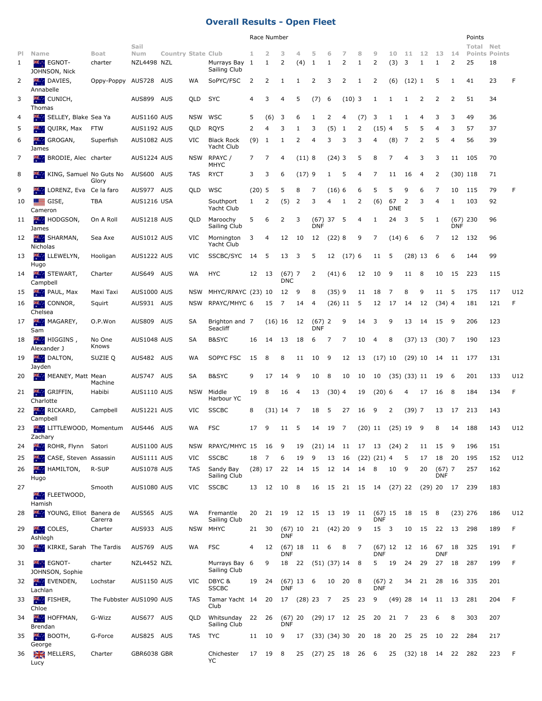## **Overall Results - Open Fleet**

|              |                                                       |                          |                    |                           |            |                                                |             | Race Number          |                        |       |                        |           |                           |           |                    |                  |                  |                |                        |                    | Points    |                      |     |
|--------------|-------------------------------------------------------|--------------------------|--------------------|---------------------------|------------|------------------------------------------------|-------------|----------------------|------------------------|-------|------------------------|-----------|---------------------------|-----------|--------------------|------------------|------------------|----------------|------------------------|--------------------|-----------|----------------------|-----|
| PI.          | Name                                                  | Boat                     | Sail<br>Num        | <b>Country State Club</b> |            |                                                | 1           | 2                    | з                      | 4     | 5                      | 6         | 7                         | 8         | 9                  | 10               | 11               | -12            | -13                    | 14                 | Total Net | <b>Points Points</b> |     |
| $\mathbf{1}$ | <b>XIVE EGNOT-</b><br>JOHNSON, Nick                   | charter                  | NZL4498 NZL        |                           |            | Murrays Bay 1<br>Sailing Club                  |             | 1                    | 2                      | (4)   | -1                     | 1         | 2                         | 1         | 2                  | (3)              | 3                | 1              | 1                      | 2                  | 25        | 18                   |     |
| 2            | DAVIES,<br><b>PR.</b><br>Annabelle                    | Oppy-Poppy               | AUS728             | AUS                       | WA         | SoPYC/FSC                                      | 2           | 2                    | 1                      | 1     | 2                      | 3         | 2                         | 1         | 2                  | (6)              | $(12)$ 1         |                | 5                      | 1                  | 41        | 23                   | F   |
| 3            | 横山<br>CUNICH,<br>Thomas                               |                          | AUS899 AUS         |                           | QLD        | <b>SYC</b>                                     | 4           | 3                    | 4                      | 5     | (7)                    | 6         | $(10)$ 3                  |           | 1                  | 1                | 1                | 2              | 2                      | 2                  | 51        | 34                   |     |
| 4            | SELLEY, Blake Sea Ya                                  |                          | AUS1160 AUS        |                           | NSW        | WSC                                            | 5           | (6)                  | 3                      | 6     | 1                      | 2         | 4                         | (7)       | 3                  | 1                | 1                | $\overline{4}$ | 3                      | 3                  | 49        | 36                   |     |
| 5            | QUIRK, Max                                            | <b>FTW</b>               | AUS1192 AUS        |                           | QLD        | <b>RQYS</b>                                    | 2           | 4                    | 3                      | 1     | 3                      | (5)       | 1                         | 2         | $(15)$ 4           |                  | 5                | 5              | 4                      | 3                  | 57        | 37                   |     |
| 6            | GROGAN,<br>ж.,<br>James                               | Superfish                | AUS1082 AUS        |                           | VIC        | <b>Black Rock</b><br>Yacht Club                | (9)         | 1                    | 1                      | 2     | 4                      | 3         | 3                         | 3         | 4                  | (8)              | 7                | 2              | 5                      | 4                  | 56        | 39                   |     |
| 7            | ж.,<br>BRODIE, Alec charter                           |                          | AUS1224 AUS        |                           | NSW        | RPAYC /<br>MHYC                                | $7^{\circ}$ | 7                    | 4                      | (11)8 |                        | $(24)$ 3  |                           | 5         | 8                  | 7                | 4                | 3              | 3                      | 11                 | 105       | 70                   |     |
| 8            | KING, Samuel No Guts No                               | Glory                    | AUS600 AUS         |                           | TAS        | <b>RYCT</b>                                    | 3           | 3                    | 6                      | (17)9 |                        | 1         | 5                         | 4         | 7                  | 11               | 16               | $\overline{a}$ | 2                      | $(30)$ 118         |           | 71                   |     |
| 9            | LORENZ, Eva Ce la faro                                |                          | AUS977 AUS         |                           | QLD        | WSC                                            | $(20)$ 5    |                      | 5                      | 8     | 7                      | (16)6     |                           | 6         | 5                  | 5                | 9                | 6              | 7                      | 10                 | 115       | 79                   | F   |
| 10           | 드<br>GISE,<br>Cameron                                 | TBA                      | AUS1216 USA        |                           |            | Southport<br>Yacht Club                        | 1           | 2                    | (5)                    | 2     | 3                      | 4         | 1                         | 2         | (6)                | 67<br><b>DNE</b> | 2                | 3              | 4                      | 1                  | 103       | 92                   |     |
| 11           | <b>HODGSON</b><br>James                               | On A Roll                | <b>AUS1218 AUS</b> |                           | QLD        | Maroochy<br>Sailing Club                       | 5           | 6                    | 2                      | 3     | (67)<br><b>DNF</b>     | 37        | 5                         | 4         | 1                  | 24               | 3                | 5              | 1                      | (67)<br><b>DNF</b> | 230       | 96                   |     |
| 12           | SHARMAN,<br>Nicholas                                  | Sea Axe                  | AUS1012 AUS        |                           | VIC        | Mornington<br>Yacht Club                       | 3           | 4                    | 12                     | 10    | 12                     | (22)8     |                           | 9         | 7                  | (14)6            |                  | 6              | 7                      | 12                 | 132       | 96                   |     |
| 13           | н.<br>LLEWELYN,<br>Hugo                               | Hooligan                 | AUS1222 AUS        |                           | VIC        | SSCBC/SYC                                      | 14          | 5                    | 13                     | 3     | 5                      |           | 12(17)6                   |           | 11                 | 5                | $(28)$ 13        |                | 6                      | 6                  | 144       | 99                   |     |
| 14           | STEWART,<br>Campbell                                  | Charter                  | AUS649 AUS         |                           | WA         | <b>HYC</b>                                     | 12          | - 13                 | $(67)$ 7<br><b>DNC</b> |       | 2                      | (41)6     |                           | 12        | 10                 | 9                | 11               | 8              | 10                     | 15                 | 223       | 115                  |     |
| 15           | <b>PR.</b><br>PAUL, Max                               | Maxi Taxi                | <b>AUS1000 AUS</b> |                           | <b>NSW</b> | MHYC/RPAYC (23) 10                             |             |                      | 12                     | 9     | 8                      | (35)9     |                           | 11        | 18                 | 7                | 8                | 9              | 11 5                   |                    | 175       | 117                  | U12 |
| 16           | <b>AMP</b> CONNOR,<br>Chelsea                         | Squirt                   | AUS931 AUS         |                           | <b>NSW</b> | RPAYC/MHYC 6                                   |             | 15                   | 7                      | 14    | 4                      | $(26)$ 11 |                           | 5         | 12                 | 17               | 14               | 12             | $(34)$ 4               |                    | 181       | 121                  | F.  |
| 17           | MAGAREY,<br>Sam                                       | O.P.Won                  | AUS809 AUS         |                           | SA         | Brighton and 7<br>Seacliff                     |             | $(16)$ 16            |                        | 12    | $(67)$ 2<br><b>DNF</b> |           | 9                         | 14        | 3                  | 9                | 13               | 14             | 15 9                   |                    | 206       | 123                  |     |
| 18           | $\mathbf{HIGGINS}$ ,<br>Alexander J                   | No One<br>Knows          | AUS1048 AUS        |                           | SA         | B&SYC                                          | 16          | 14                   | 13                     | 18    | 6                      | 7         | 7                         | 10        | $\overline{4}$     | 8                | $(37)$ 13        |                | $(30)$ 7               |                    | 190       | 123                  |     |
| 19           | <b>AND DALTON,</b><br>Jayden                          | SUZIE Q                  | AUS482 AUS         |                           | WA         | SOPYC FSC                                      | 15          | 8                    | 8                      | 11    | 10                     | - 9       | 12                        | 13        | $(17)$ 10          |                  | $(29)$ 10        |                | 14                     | 11                 | 177       | 131                  |     |
| 20           | MEANEY, Matt Mean                                     | Machine                  | AUS747 AUS         |                           | SA         | <b>B&amp;SYC</b>                               | 9           | 17                   | 14                     | 9     | 10                     | 8         | 10                        | 10        | 10                 |                  | $(35)$ $(33)$ 11 |                | 19                     | 6                  | 201       | 133                  | U12 |
| 21           | 楽. .<br>GRIFFIN,<br>Charlotte                         | Habibi                   | <b>AUS1110 AUS</b> |                           | NSW        | Middle<br>Harbour YC                           | 19          | 8                    | 16                     | 4     | 13                     | $(30)$ 4  |                           | 19        | $(20)$ 6           |                  | 4                | 17             | 16                     | 8                  | 184       | 134                  | F   |
| 22           | $\mathcal{R}_{\mathcal{S}}$ .<br>RICKARD,<br>Campbell | Campbell                 | AUS1221 AUS        |                           | VIC        | <b>SSCBC</b>                                   | 8           | $(31)$ 14            |                        | 7     | 18                     | 5         | 27                        | 16        | 9                  | 2                | $(39)$ 7         |                | 13                     | 17                 | 213       | 143                  |     |
| 23           | <b>With LITTLEWOOD, Momentum</b><br>Zachary           |                          | AUS446 AUS         |                           | <b>WA</b>  | <b>FSC</b>                                     | 17          | 9                    | 11                     | 5     | 14                     | 19        | $\overline{7}$            | $(20)$ 11 |                    |                  | $(25)$ 19 9      |                | 8                      | 14                 | 188       | 143                  | U12 |
| 24           | <b>Kill ROHR, Flynn Satori</b>                        |                          | <b>AUS1100 AUS</b> |                           | NSW        | RPAYC/MHYC 15                                  |             | 16                   | 9                      | 19    |                        |           | $(21)$ 14 11 17 13 (24) 2 |           |                    |                  |                  | 11             | 15                     | 9                  | 196       | 151                  |     |
| 25           | CASE, Steven Assassin<br><b>SPL 2</b>                 |                          | AUS1111 AUS        |                           | VIC        | <b>SSCBC</b>                                   | 18          | 7                    | 6                      | 19    | 9                      | 13        | - 16                      |           | $(22)$ $(21)$ 4    |                  | 5                | 17             | 18 20                  |                    | 195       | 152                  | U12 |
| 26           | HAMILTON,<br>Hugo                                     | R-SUP                    | AUS1078 AUS        |                           | TAS        | Sandy Bay<br>Sailing Club                      |             | $(28)$ 17 22         |                        | 14    | 15                     | 12        | - 14                      | 14        | $_{\rm 8}$         | 10               | 9                | 20             | $(67)$ 7<br><b>DNF</b> |                    | 257       | 162                  |     |
| 27           | <b>KILLEETWOOD,</b>                                   | Smooth                   | <b>AUS1080 AUS</b> |                           | VIC        | <b>SSCBC</b>                                   |             | 13 12 10 8           |                        |       |                        |           | 16 15 21 15 14 (27) 22    |           |                    |                  |                  |                | $(29)$ 20 17 239       |                    |           | 183                  |     |
| 28           | Hamish<br><b>XXXX</b> YOUNG, Elliot Banera de         |                          | AUS565 AUS         |                           | WA         | Fremantle                                      | 20          | 21 19 12 15 13 19 11 |                        |       |                        |           |                           |           | (67) 15 18 15 8    |                  |                  |                |                        | $(23)$ 276         |           | 186                  | U12 |
| 29           | <b>类。</b><br>COLES,                                   | Carerra<br>Charter       | AUS933 AUS         |                           | NSW        | Sailing Club<br><b>MHYC</b>                    | 21          | 30                   |                        |       | $(67)$ 10 21 $(42)$ 20 |           |                           | - 9       | <b>DNF</b><br>15 3 |                  | 10               | 15             | 22                     | 13                 | 298       | 189                  | F   |
| 30           | Ashlegh<br><b>KIRKE, Sarah The Tardis</b>             |                          | AUS769 AUS         |                           | WA         | <b>FSC</b>                                     | 4           | 12                   | <b>DNF</b>             |       | $(67)$ 18 11 6         |           | 8                         | 7         |                    |                  | $(67)$ 12 12 16  |                | 67 18                  |                    | 325       | 191                  | F   |
| 31           | <b>EGNOT-</b>                                         | charter                  | NZL4452 NZL        |                           |            | Murrays Bay 6                                  |             | 9                    | DNF                    |       | 18 22 (51) (37) 14     |           |                           | 8         | <b>DNF</b><br>5    | 19               | 24               | 29             | <b>DNF</b><br>27 18    |                    | 287       | 199                  | F   |
| 32           | JOHNSON, Sophie<br><b>ASSES</b> EVENDEN,              | Lochstar                 | AUS1150 AUS        |                           | VIC        | Sailing Club<br>DBYC &                         | 19          | 24                   | $(67)$ 13 6            |       |                        | 10        | 20 8                      |           | $(67)$ 2           |                  | 34               | 21             | 28                     | 16                 | 335       | 201                  |     |
| 33           | Lachlan<br>FISHER,                                    | The Fubbster AUS1090 AUS |                    |                           | TAS        | <b>SSCBC</b><br>Tamar Yacht 14 20 17 (28) 23 7 |             |                      | <b>DNF</b>             |       |                        |           | 25 23                     |           | <b>DNF</b><br>9    | $(49)$ 28        |                  | 14 11          |                        | - 13               | 281       | 204                  | F   |
| 34           | Chloe<br><b>HOFFMAN,</b>                              | G-Wizz                   | AUS677 AUS         |                           | <b>QLD</b> | Club<br>Whitsunday                             | 22          | 26                   | $(67)$ 20              |       |                        |           | $(29)$ 17 12 25           |           | 20                 | 21 7             |                  | 23             | - 6                    | 8                  | 303       | 207                  |     |
| 35           | Brendan<br>BOOTH,                                     | G-Force                  | AUS825 AUS         |                           | TAS        | Sailing Club<br>TYC                            | 11          | 10                   | <b>DNF</b><br>9        |       |                        |           | 17 (33) (34) 30 20 18     |           |                    | 20 25            |                  | -25            | - 10                   | 22                 | 284       | 217                  |     |
| 36           | George<br>MELLERS,                                    | Charter                  | GBR6038 GBR        |                           |            | Chichester                                     | 17          | 19 8                 |                        |       |                        |           | 25 (27) 25 18 26 6        |           |                    |                  |                  |                | 25 (32) 18 14 22 282   |                    |           | 223                  | F   |
|              | Lucy                                                  |                          |                    |                           |            | YC                                             |             |                      |                        |       |                        |           |                           |           |                    |                  |                  |                |                        |                    |           |                      |     |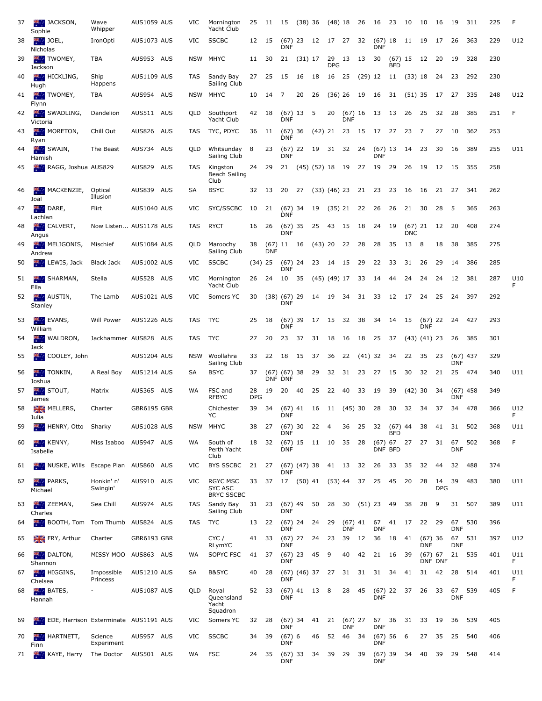| 37 | <b>MAN</b> JACKSON,<br>Sophie                 | Wave<br>Whipper        | AUS1059 AUS | VIC        | Mornington<br>Yacht Club                        | 25               | 11 15 (38) 36               |                                |              |                        | $(48)$ 18  |                             | 26      | 16                      | 23                    | 10                      | 10                                         | 16               | 19                       | 311   | 225 | F         |
|----|-----------------------------------------------|------------------------|-------------|------------|-------------------------------------------------|------------------|-----------------------------|--------------------------------|--------------|------------------------|------------|-----------------------------|---------|-------------------------|-----------------------|-------------------------|--------------------------------------------|------------------|--------------------------|-------|-----|-----------|
| 38 | $\frac{1}{2}$ JOEL,<br>Nicholas               | IronOpti               | AUS1073 AUS | VIC        | <b>SSCBC</b>                                    | 12 15            |                             | <b>DNF</b>                     | $(67)$ 23 12 |                        |            |                             |         | <b>DNF</b>              | $(67)$ 18 11 19       |                         |                                            | 17               | 26                       | 363   | 229 | U12       |
| 39 | <b>TWOMEY,</b><br>Jackson                     | TBA                    | AUS953 AUS  |            | NSW MHYC                                        | 11 30            |                             | 21 (31) 17                     |              |                        | <b>DPG</b> | 29 13 13 30                 |         |                         | <b>BFD</b>            |                         | $(67)$ 15 12 20                            |                  | -19                      | 328   | 230 |           |
| 40 | <b>HICKLING</b> ,<br>Hugh                     | Ship<br>Happens        | AUS1109 AUS | TAS        | Sandy Bay<br>Sailing Club                       | 27               | -25                         | - 15                           | 16           | - 18                   | 16 25      |                             |         | (29) 12 11              |                       | (33) 18                 |                                            | 24               | -23                      | 292   | 230 |           |
| 41 | <b>TWOMEY,</b>                                | TBA                    | AUS954 AUS  |            | NSW MHYC                                        | 10               | 14                          | $\overline{7}$                 | 20           | -26                    |            | $(36)$ 26 19 16             |         |                         | 31                    | (51) 35                 |                                            |                  | 17 27 335                |       | 248 | U12       |
| 42 | Flynn<br>SWADLING,                            | Dandelion              | AUS511 AUS  | QLD        | Southport<br>Yacht Club                         | 42               | - 18                        | <b>DNF</b>                     | $(67)$ 13 5  |                        | 20         | $(67)$ 16 13<br><b>DNF</b>  |         |                         | 13                    | 26                      | 25                                         | 32               | 28                       | 385   | 251 | F.        |
| 43 | Victoria<br><b>AND MORETON,</b>               | Chill Out              | AUS826 AUS  | TAS        | TYC, PDYC                                       | 36 11            |                             | <b>DNF</b>                     |              |                        |            | (67) 36 (42) 21 23 15 17 27 |         |                         |                       | 23                      | $\overline{7}$                             | 27               | 10                       | 362   | 253 |           |
| 44 | Ryan<br>SWAIN,                                | The Beast              | AUS734 AUS  | QLD        | Whitsunday<br>Sailing Club                      | 8                | 23                          | <b>DNF</b>                     | $(67)$ 22 19 |                        | 31         | 32 24                       |         | $(67)$ 13<br><b>DNF</b> |                       | 14                      | 23                                         | 30               | 16                       | 389   | 255 | U11       |
| 45 | Hamish<br><b>PR.</b><br>RAGG, Joshua AUS829   |                        | AUS829 AUS  | <b>TAS</b> | Kingston<br>Beach Sailing<br>Club               | 24 29            |                             |                                |              |                        |            | 21 (45) (52) 18 19 27 19 29 |         |                         |                       | 26                      | 19                                         | 12               | 15 355                   |       | 258 |           |
| 46 | MACKENZIE,<br><b>字。</b><br>Joal               | Optical<br>Illusion    | AUS839 AUS  | SA         | <b>BSYC</b>                                     | 32 13            |                             | 20 27                          |              |                        |            | $(33)$ $(46)$ 23 21 23      |         |                         | 23                    | - 16                    | - 16                                       | 21 27            |                          | - 341 | 262 |           |
| 47 | <b>DARE,</b><br>Lachlan                       | Flirt                  | AUS1040 AUS | VIC        | SYC/SSCBC                                       | 10               | 21                          | <b>DNF</b>                     | $(67)$ 34 19 |                        |            | (35) 21 22                  |         | -26                     | 26                    | 21                      | 30                                         | 28               | -5                       | 365   | 263 |           |
| 48 | <b>EXECUTE CALVERT,</b><br>Angus              | Now Listen AUS1178 AUS |             | TAS        | <b>RYCT</b>                                     | 16               | - 26                        | <b>DNF</b>                     |              |                        |            | $(67)$ 35 25 43 15 18       |         | 24                      | 19                    | $(67)$ 21<br><b>DNC</b> |                                            | 12 20            |                          | 408   | 274 |           |
| 49 | MELIGONIS,<br>Andrew                          | Mischief               | AUS1084 AUS | QLD        | Maroochy<br>Sailing Club                        | 38               | <b>DNF</b>                  |                                |              | $(67)$ 11 16 $(43)$ 20 |            | 22                          | 28      | 28                      | 35                    | 13                      | 8                                          | 18               | 38                       | 385   | 275 |           |
| 50 | LEWIS, Jack                                   | <b>Black Jack</b>      | AUS1002 AUS | VIC        | <b>SSCBC</b>                                    | $(34)$ 25        |                             | $(67)$ 24 23<br><b>DNF</b>     |              |                        | 14 15      |                             | 29      | 22                      | 33                    | 31                      | 26                                         | 29               | 14                       | 386   | 285 |           |
| 51 | SHARMAN,<br><b>PR.</b><br>Ella                | Stella                 | AUS528 AUS  | VIC        | Mornington<br>Yacht Club                        | 26 24            |                             | 10 35                          |              | (45) (49) 17           |            |                             | 33      | 14                      | 44                    | 24                      | 24                                         | 24               | 12                       | 381   | 287 | U10<br>F  |
| 52 | <b>AUSTIN,</b><br>Stanley                     | The Lamb               | AUS1021 AUS | VIC        | Somers YC                                       | 30               | $(38)$ $(67)$ 29            | <b>DNF</b>                     |              | 14                     | 19 34      |                             | 31      | - 33                    | 12 17                 |                         | 24                                         | 25               | 24                       | 397   | 292 |           |
| 53 | <b>EVANS,</b><br>William                      | Will Power             | AUS1226 AUS | TAS        | <b>TYC</b>                                      | 25               | 18                          | <b>DNF</b>                     | $(67)$ 39 17 |                        | 15         | - 32                        | 38      | -34                     | 14 15                 |                         | $(67)$ 22 24 427<br><b>DNF</b>             |                  |                          |       | 293 |           |
| 54 | <b>WALDRON</b> ,<br>Jack                      | Jackhammer AUS828 AUS  |             | TAS        | TYC                                             | 27               | 20                          | 23                             | 37           | 31                     | 18         | - 16                        | 18      | 25                      | 37                    |                         | (43) (41) 23                               |                  | 26                       | 385   | 301 |           |
| 55 | <b>Example 200 COOLEY, John</b>               |                        | AUS1204 AUS |            | NSW Woollahra<br>Sailing Club                   | 33               | 22                          | 18                             | 15           | - 37                   | 36         | 22                          | (41) 32 |                         | 34                    | 22                      | 35                                         | - 23             | $(67)$ 437<br>DNF        |       | 329 |           |
| 56 | <b>TONKIN</b> ,<br>Joshua                     | A Real Boy             | AUS1214 AUS | SA         | <b>BSYC</b>                                     | 37               | $(67)$ $(67)$ 38<br>DNF DNF |                                |              | 29                     | 32         | 31                          | 23      | 27                      | 15                    | 30                      | 32                                         | 21               | 25 474                   |       | 340 | U11       |
| 57 | <b>XIX</b> STOUT,<br>James                    | Matrix                 | AUS365 AUS  | WA         | FSC and<br><b>RFBYC</b>                         | 28<br><b>DPG</b> | 19                          | 20                             | 40           | 25                     | 22         | 40                          | 33      | 19                      | 39                    | $(42)$ 30               |                                            | -34              | $(67)$ 458<br><b>DNF</b> |       | 349 |           |
|    | 58 MELLERS,<br>Julia                          | Charter                | GBR6195 GBR |            | Chichester<br>YC                                |                  |                             | <b>DNF</b>                     |              |                        |            |                             |         |                         |                       |                         | 39 34 (67) 41 16 11 (45) 30 28 30 32 34 37 |                  | 34 478                   |       | 366 | U12       |
| 59 | <b>HENRY, Otto Sharky</b>                     |                        | AUS1028 AUS |            | NSW MHYC                                        | 38 27            |                             | <b>DNF</b>                     |              | $(67)$ 30 22 4         |            | 36                          | 25      | 32                      | (67) 44<br><b>BFD</b> |                         | 38                                         | 41               | 31                       | 502   | 368 | U11       |
| 60 | <b>KENNY</b> ,<br>Isabelle                    | Miss Isaboo            | AUS947 AUS  | WA         | South of<br>Perth Yacht<br>Club                 | 18 32            |                             | <b>DNF</b>                     |              | $(67)$ 15 11 10        |            | 35 28                       |         | DNF BFD                 | $(67)$ 67 27          |                         | 27                                         | 31               | 67<br><b>DNF</b>         | 502   | 368 | F         |
| 61 | <b>WE NUSKE, Wills Escape Plan AUS860 AUS</b> |                        |             | VIC        | BYS SSCBC                                       | 21 27            |                             | $(67)$ $(47)$ 38<br><b>DNF</b> |              |                        | 41 13      |                             | 32      | 26                      | - 33                  | 35                      | 32                                         | 44               | 32                       | 488   | 374 |           |
| 62 | PARKS,<br>Michael                             | Honkin' n'<br>Swingin' | AUS910 AUS  | VIC        | RGYC MSC<br><b>SYC ASC</b><br><b>BRYC SSCBC</b> | 33               | 37                          |                                |              |                        |            | 17 (50) 41 (53) 44 37       |         | 25                      | 45                    | 20                      | 28                                         | 14<br><b>DPG</b> | 39                       | 483   | 380 | U11       |
| 63 | ZEEMAN,<br>整个<br>Charles                      | Sea Chill              | AUS974 AUS  | TAS        | Sandy Bay<br>Sailing Club                       | 31 23            |                             | (67) 49<br><b>DNF</b>          |              | 50                     | 28         | 30                          | (51) 23 |                         | - 49                  | 38                      | 28                                         | 9                | 31                       | 507   | 389 | U11       |
| 64 | <b>BOOTH, Tom</b> Tom Thumb                   |                        | AUS824 AUS  | TAS        | TYC                                             | 13 22            |                             | $(67)$ 24 24<br><b>DNF</b>     |              |                        | 29         | $(67)$ 41 67<br><b>DNF</b>  |         | <b>DNF</b>              | 41 17                 |                         | 22                                         | - 29             | 67<br><b>DNF</b>         | 530   | 396 |           |
| 65 | FRY, Arthur                                   | Charter                | GBR6193 GBR |            | CYC /<br>RLymYC                                 | 41 33            |                             | <b>DNF</b>                     | $(67)$ 27 24 |                        | 23         | 39                          | 12      | 36                      | - 18                  | 41                      | $(67)$ 36<br><b>DNF</b>                    |                  | 67<br>DNF                | 531   | 397 | U12       |
| 66 | <b>EXAMPLE DALTON,</b><br>Shannon             | MISSY MOO              | AUS863 AUS  | WA         | SOPYC FSC                                       | 41 37            |                             | <b>DNF</b>                     | $(67)$ 23 45 |                        | - 9        | 40                          | 42      | 21                      | - 16                  | 39                      | $(67)$ 67                                  | DNF DNF          | 21 535                   |       | 401 | U11<br>F. |
| 67 | <b>X</b> HIGGINS,<br>Chelsea                  | Impossible<br>Princess | AUS1210 AUS | SA         | B&SYC                                           | 40               | -28                         | <b>DNF</b>                     |              | $(67)$ $(46)$ 37 27    |            | 31 31                       |         | 31 34                   |                       | 41                      | 31                                         | - 42             | 28 514                   |       | 401 | U11<br>F. |
| 68 | BATES,<br>Hannah                              |                        | AUS1087 AUS | QLD        | Royal<br>Queensland<br>Yacht<br>Squadron        | 52               | 33                          | <b>DNF</b>                     | $(67)$ 41 13 |                        | $_{\rm 8}$ | 28                          | 45      | <b>DNF</b>              | $(67)$ 22 37          |                         | 26                                         | 33               | 67<br><b>DNF</b>         | 539   | 405 | F         |
| 69 | EDE, Harrison Exterminate AUS1191 AUS         |                        |             | VIC        | Somers YC                                       | 32 28            |                             | <b>DNF</b>                     |              | $(67)$ 34 41 21        |            | $(67)$ 27<br><b>DNF</b>     |         | <b>DNF</b>              | 67 36 31              |                         | 33                                         | - 19             | 36                       | 539   | 405 |           |
| 70 | HARTNETT,<br>带。<br>Finn                       | Science<br>Experiment  | AUS957 AUS  | VIC        | <b>SSCBC</b>                                    | 34 39            |                             | $(67)$ 6<br><b>DNF</b>         |              | 46                     | 52         | 46 34                       |         | <b>DNF</b>              | (67) 56 6             |                         | 27 35                                      |                  | 25                       | 540   | 406 |           |
| 71 | KAYE, Harry<br><b>美。</b>                      | The Doctor             | AUS501 AUS  | WA         | <b>FSC</b>                                      | 24               | 35                          | <b>DNF</b>                     | $(67)$ 33 34 |                        | 39         | 29                          | 39      | (67)<br>DNF             | 39                    | - 34                    | 40                                         | 39               | 29                       | 548   | 414 |           |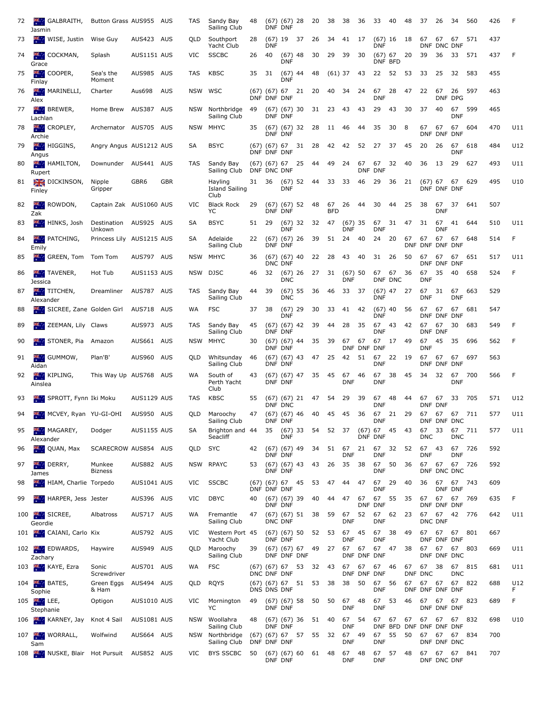| 72 | <b>K GALBRAITH,</b><br>Jasmin       | Button Grass AUS955 AUS          |                    |            | TAS     | Sandy Bay<br>Sailing Club                | 48    |                                 | $(67)$ $(67)$ 28<br>DNF DNF        |                              | 20       | 38               | 38                      | 36               | 33                         | - 40          | 48    | 37                  | 26                        | 34               | 560                                               | 426     | F         |
|----|-------------------------------------|----------------------------------|--------------------|------------|---------|------------------------------------------|-------|---------------------------------|------------------------------------|------------------------------|----------|------------------|-------------------------|------------------|----------------------------|---------------|-------|---------------------|---------------------------|------------------|---------------------------------------------------|---------|-----------|
| 73 | <b>WISE</b> , Justin                | Wise Guy                         | AUS423 AUS         |            | QLD.    | Southport<br>Yacht Club                  | 28    | <b>DNF</b>                      | $(67)$ 19 37                       |                              | 26       | 34               | 41 17                   |                  | <b>DNF</b>                 | $(67)$ 16 18  |       | 67                  | 67<br>DNF DNC DNF         | 67               | 571                                               | 437     |           |
| 74 | <b>COCKMAN</b> ,<br>Grace           | Splash                           | AUS1151 AUS        |            | VIC     | <b>SSCBC</b>                             | 26    | 40                              | $(67)$ 48<br><b>DNF</b>            |                              | 30       | 29               | 39                      | 30               | $(67)$ 67                  | DNF BFD       | 20    | 39                  | 36                        | 33               | 571                                               | 437     | F         |
| 75 | 2000 L<br>COOPER,<br>Finlay         | Sea's the<br>Moment              | AUS985 AUS         |            | TAS     | KBSC                                     | 35    | 31                              | (67) 44<br><b>DNF</b>              |                              | 48       | $(61)$ 37        |                         | 43               |                            | 22 52         | 53 33 |                     | 25                        | 32               | 583                                               | 455     |           |
| 76 | <b>MARINELLI</b> ,<br>Alex          | Charter                          | Aus698             | AUS        | NSW WSC |                                          |       | (67) (67) 67<br>DNF DNF DNF     |                                    | 21 20                        |          | 40               | 34                      | 24               | 67<br><b>DNF</b>           | 28            | 47    | 22                  | 67                        | 26<br>DNF DPG    | 597                                               | 463     |           |
| 77 | <b>BREWER</b> ,<br>Lachlan          | Home Brew                        | AUS387 AUS         |            |         | NSW Northbridge<br>Sailing Club          | 49    |                                 | $(67)$ $(67)$ 30<br>DNF DNF        |                              | 31 23 43 |                  |                         | 43               | 29                         | 43            | 30    | 37                  | 40                        | 67<br><b>DNF</b> | 599                                               | 465     |           |
| 78 | <b>EXAMPLEY,</b><br>Archie          | Archernator AUS705 AUS           |                    |            | NSW     | MHYC                                     | 35    |                                 | (67) (67) 32<br>DNF DNF            |                              | 28       | 11               | 46                      | 44               | 35                         | 30            | 8     | 67                  | 67<br>DNF DNF DNF         | 67               | 604                                               | 470     | U11       |
| 79 | <b>HIGGINS</b> ,<br>Angus           | Angry Angus AUS1212 AUS          |                    |            | SA      | <b>BSYC</b>                              |       | $(67)$ $(67)$ 67<br>DNF DNF DNF |                                    | 31 28                        |          | 42               | 42                      | 52               | 27                         | 37            | 45    | 20                  | -26                       | 67<br><b>DNF</b> | 618                                               | 484     | U12       |
| 80 | <b>HAMILTON</b> ,<br>Rupert         | Downunder                        | AUS441 AUS         |            | TAS     | Sandy Bay<br>Sailing Club                |       | DNF DNC DNF                     |                                    | $(67)$ $(67)$ $67$ $25$ $44$ |          | 49 24            |                         | 67               | DNF DNF                    | 67 32 40      |       | 36                  | - 13                      | 29               | 627                                               | 493     | U11       |
| 81 | DICKINSON,<br>Finley                | Nipple<br>Gripper                | GBR <sub>6</sub>   | <b>GBR</b> |         | Hayling<br><b>Island Sailing</b><br>Club | 31 36 |                                 | <b>DNF</b>                         | $(67)$ 52 44                 |          | 33 33            |                         | 46               | 29                         | - 36          | 21    |                     | (67) 67 67<br>DNF DNF DNF |                  | 629                                               | 495     | U10       |
| 82 | <b>KI</b> ROWDON,<br>Zak            | Captain Zak AUS1060 AUS          |                    |            | VIC.    | <b>Black Rock</b><br>YC                  | 29    |                                 | $(67)$ $(67)$ 52<br>DNF DNF        |                              | 48       | 67<br><b>BFD</b> | 26                      | 44               | 30                         | 44            | 25    | 38                  | <b>DNF</b>                | 67 37            | 641                                               | 507     |           |
| 83 | HINKS, Josh<br><b>SP 11</b>         | Destination AUS925 AUS<br>Unkown |                    |            | SA      | <b>BSYC</b>                              | 51    | 29                              | $(67)$ 32<br><b>DNF</b>            |                              | 32       | 47               | $(67)$ 35<br><b>DNF</b> |                  | <b>DNF</b>                 | 67 31         | 47    | 31                  | 67<br><b>DNF</b>          | 41               | 644                                               | 510     | U11       |
| 84 | 不可<br>PATCHING,<br>Emily            | Princess Lily AUS1215 AUS        |                    |            | SA      | Adelaide<br>Sailing Club                 | 22    |                                 | $(67)$ $(67)$ 26<br>DNF DNF        |                              | 39       |                  | 51 24                   | 40               | 24 20                      |               | 67    | 67                  | 67<br>DNF DNF DNF DNF     | 67               | 648                                               | 514     | F         |
| 85 | <b>King GREEN, Tom</b>              | Tom Tom                          | AUS797 AUS         |            |         | NSW MHYC                                 | 36    |                                 | $(67)$ $(67)$ 40<br><b>DNC DNF</b> |                              | 22       | 28               | 43                      | 40               | 31 26                      |               | 50    | 67                  | 67<br>DNF DNF DNF         | 67               | 651                                               | 517     | U11       |
| 86 | <b>TAVENER,</b><br>Jessica          | Hot Tub                          | AUS1153 AUS        |            | NSW     | DJSC                                     | 46    | 32                              | $(67)$ 26<br><b>DNC</b>            |                              | 27       | 31               | $(67)$ 50<br>DNF        |                  | 67                         | 67<br>DNF DNC | 36    | 67<br><b>DNF</b>    | 35                        | 40               | 658                                               | 524     | F         |
| 87 | TITCHEN,<br>Alexander               | Dreamliner                       | AUS787 AUS         |            | TAS     | Sandy Bay<br>Sailing Club                | 44    | 39                              | $(67)$ 55<br><b>DNC</b>            |                              | 36       | 46               | 33 37                   |                  | <b>DNF</b>                 | $(67)$ 47 27  |       | 67 31<br><b>DNF</b> |                           | 67<br><b>DNF</b> | 663                                               | 529     |           |
| 88 | SICREE, Zane Golden Girl            |                                  | AUS718 AUS         |            | WA      | <b>FSC</b>                               | 37    | 38                              | $(67)$ 29<br><b>DNF</b>            |                              | 30       | 33               | 41                      | 42               | $(67)$ 40<br><b>DNF</b>    |               | 56    | 67                  | 67<br>DNF DNF DNF         | 67               | 681                                               | 547     |           |
| 89 | ZEEMAN, Lily Claws                  |                                  | AUS973 AUS         |            | TAS.    | Sandy Bay<br>Sailing Club                | 45    |                                 | $(67)$ $(67)$ 42<br>DNF DNF        |                              | 39       | 44               | 28                      | -35              | 67<br><b>DNF</b>           | 43 42         |       | 67                  | 67<br>DNF DNF             | 30               | 683                                               | 549     | F         |
| 90 | STONER, Pia                         | Amazon                           | AUS661 AUS         |            | NSW     | MHYC                                     | 30    |                                 | $(67)$ $(67)$ 44<br>DNF DNF        |                              | 35       | 39               | 67                      | 67               | DNF DNF DNF                | 67 17 49      |       | 67<br><b>DNF</b>    | 45                        | -35              | 696                                               | 562     | F         |
| 91 | <b>EXICE GUMMOW,</b><br>Aidan       | Plan'B'                          | AUS960 AUS         |            | QLD     | Whitsunday<br>Sailing Club               | -46   |                                 | $(67)$ $(67)$ 43<br>DNF DNF        |                              | 47       | 25               | 42                      | 51               | 67<br><b>DNF</b>           | 22 19         |       | 67                  | 67 67<br>DNF DNF DNF      |                  | 697                                               | 563     |           |
| 92 | KIPLING,<br>Ainslea                 | This Way Up AUS768 AUS           |                    |            | WA      | South of<br>Perth Yacht<br>Club          | 43    |                                 | (67) (67) 47<br>DNF DNF            |                              | 35 45    |                  | 67<br><b>DNF</b>        | 46               | <b>DNF</b>                 | 67 38 45      |       |                     | 34 32 67                  | <b>DNF</b>       | 700                                               | 566     | F         |
| 93 | SPROTT, Fynn Iki Moku               |                                  | AUS1129 AUS        |            | TAS     | <b>KBSC</b>                              | 55    |                                 | DNF DNC                            | $(67)$ $(67)$ 21 47          |          |                  | 54 29 39                |                  | 67<br><b>DNF</b>           | 48 44         |       | 67                  | 67<br>DNF DNF             | 33 705           |                                                   | 571     | U12       |
|    | 94 MCVEY, Ryan YU-GI-OHI AUS950 AUS |                                  |                    |            |         | QLD Maroochy<br>Sailing Club             |       |                                 | DNF DNF                            |                              |          |                  |                         |                  | DNF                        |               |       |                     | DNF DNF DNC               |                  | 47 (67) (67) 46 40 45 45 36 67 21 29 67 67 67 711 | 577 U11 |           |
| 95 | <b>MAGAREY,</b><br>Alexander        | Dodger                           | <b>AUS1155 AUS</b> |            | SA      | Brighton and 44<br>Seacliff              |       | 35                              | <b>DNF</b>                         | (67) 33                      | 54       | 52 37            |                         |                  | $(67)$ 67 45 43<br>DNF DNF |               |       | 67<br><b>DNC</b>    | 33                        | 67<br><b>DNC</b> | 711                                               | 577     | U11       |
| 96 | <b>AM</b> QUAN, Max                 | SCARECROW AUS854 AUS             |                    |            | QLD     | <b>SYC</b>                               | 42    |                                 | $(67)$ $(67)$ 49<br>DNF DNF        |                              | -34      | 51               | 67<br>DNF               | 21               | DNF                        | 67 32 52      |       | 67 43<br><b>DNF</b> |                           | 67<br>DNF        | 726                                               | 592     |           |
| 97 | DERRY,<br>James                     | Munkee<br><b>Bizness</b>         | AUS882 AUS         |            |         | NSW RPAYC                                | 53    |                                 | $(67)$ $(67)$ 43<br>DNF DNF        |                              | 43       | 26               | 35                      | 38               | 67<br><b>DNF</b>           | 50            | 36    | 67                  | 67<br>DNF DNC DNC         | 67 726           |                                                   | 592     |           |
| 98 | <b>HIAM, Charlie Torpedo</b>        |                                  | AUS1041 AUS        |            | VIC     | <b>SSCBC</b>                             |       | (67) (67) 67<br>DNF DNF DNF     |                                    | 45                           | 53       | 47               | 44                      | 47               | 67<br><b>DNF</b>           | 29            | 40    | 36                  | 67                        | 67<br>DNF DNF    | 743                                               | 609     |           |
| 99 | HARPER, Jess Jester<br><b>SPACE</b> |                                  | AUS396 AUS         |            | VIC     | <b>DBYC</b>                              | 40    |                                 | $(67)$ $(67)$ 39<br>DNF DNF        |                              | 40       | 44               | 47                      | 67<br><b>DNF</b> | <b>DNF</b>                 | 67 55 35      |       | 67                  | 67<br>DNF DNF DNF         | 67               | 769                                               | 635     | F         |
|    | 100 SICREE,<br>Geordie              | Albatross                        | AUS717 AUS         |            | WA      | Fremantle<br>Sailing Club                | 47    |                                 | $(67)$ $(67)$ 51<br>DNC DNF        |                              | 38       | 59               | 67<br>DNF               | 52               | <b>DNF</b>                 | 67 62 23      |       | 67                  | 67<br>DNC DNF             | 42 776           |                                                   | 642     | U11       |
|    | 101 CAIANI, Carlo Kix               |                                  | AUS792 AUS         |            | VIC     | Western Port 45<br>Yacht Club            |       |                                 | $(67)$ $(67)$ 50<br>DNF DNF        |                              | 52 53    |                  | 67<br>DNF               | 45               | 67<br><b>DNF</b>           | 38            | -49   |                     | 67 67 67<br>DNF DNF DNF   |                  | 801                                               | 667     |           |
|    | 102 EDWARDS,<br>Zachary             | Haywire                          | AUS949 AUS         |            | QLD     | Maroochy<br>Sailing Club                 | 39    |                                 | DNF DNF DNF                        | $(67)$ $(67)$ 67             | 49       | 27               | 67                      | 67               | 67<br>DNF DNF DNF          | 47            | 38    | 67                  | 67<br>DNF DNF DNC         | 67               | 803                                               | 669     | U11       |
|    | 103 KAYE, Ezra                      | Sonic<br>Screwdriver             | AUS701 AUS         |            | WA      | <b>FSC</b>                               |       | (67) (67) 67<br>DNC DNF DNF     |                                    | 53                           | 32 43    |                  | 67                      | 67               | 67 46<br>DNF DNF DNF       |               | 67    | 67<br>DNF DNC       | 38                        | 67<br><b>DNC</b> | 815                                               | 681     | U11       |
|    | 104 <b>BATES</b> ,<br>Sophie        | Green Eggs<br>& Ham              | AUS494 AUS         |            | QLD     | RQYS                                     |       | (67) (67) 67<br>DNS DNS DNF     |                                    | 51 53                        |          | 38               | 38                      | 50               | 67 56<br><b>DNF</b>        |               | 67    |                     | 67 67<br>DNF DNF DNF DNF  | 67 822           |                                                   | 688     | U12<br>F. |
|    | $105$ M LEE,<br>Stephanie           | Optigon                          | AUS1010 AUS        |            | VIC     | Mornington<br>YC                         | 49    |                                 | $(67)$ $(67)$ 58<br>DNF DNF        |                              | 50       | 50               | 67<br>DNF               | 48               | 67<br><b>DNF</b>           | 53            | 46    | 67                  | 67<br>DNF DNF DNF         | 67               | 823                                               | 689     | F         |
|    | 106 KARNEY, Jay                     | Knot 4 Sail                      | AUS1081 AUS        |            |         | NSW Woollahra<br>Sailing Club            | 48    | DNF DNF                         | $(67)$ $(67)$ 36                   |                              | 51 40    |                  | 67<br>DNF               | 54               |                            | 67 67 67      |       | 67                  | DNF BFD DNF DNF DNF DNF   | 67 67            | 832                                               | 698     | U10       |
|    | 107 WORRALL,                        | Wolfwind                         | AUS664 AUS         |            |         | NSW Northbridge<br>Sailing Club          |       | (67) (67) 67<br>DNF DNF DNF     |                                    |                              | 57 55 32 |                  | 67<br><b>DNF</b>        | 49               | 67<br><b>DNF</b>           | 55            | 50    | 67                  | 67<br>DNF DNF DNC         | 67               | 834                                               | 700     |           |
|    | Sam<br>108 NUSKE, Blair Hot Pursuit |                                  | AUS852 AUS         |            | VIC.    | BYS SSCBC                                | 50    |                                 | $(67)$ $(67)$ 60<br>DNF DNF        |                              | 61 48    |                  | 67<br><b>DNF</b>        | 48               | 67<br><b>DNF</b>           | 57 48         |       |                     | 67 67 67<br>DNF DNC DNF   |                  | 841                                               | 707     |           |